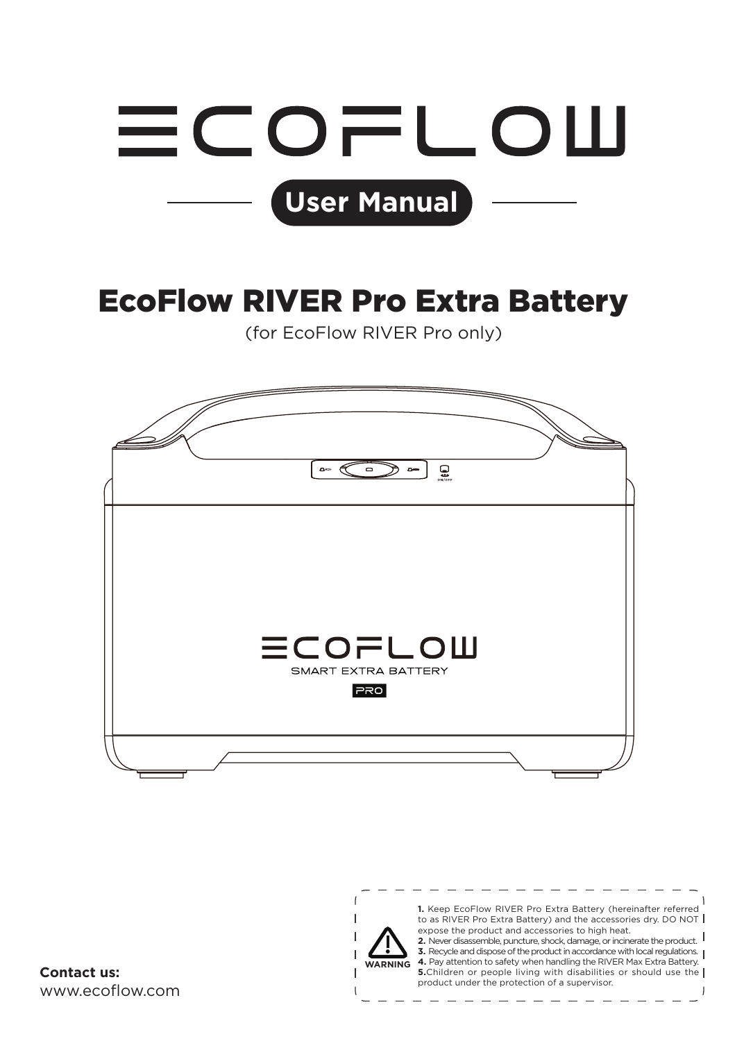

## EcoFlow RIVER Pro Extra Battery

(for EcoFlow RIVER Pro only)



 $\sqrt{ }$  $\mathbf{I}$ 

www.ecoflow.com

**1.** Keep EcoFlow RIVER Pro Extra Battery (hereinafter referred to as RIVER Pro Extra Battery) and the accessories dry. DO NOT expose the product and accessories to high heat. **2.** Never disassemble, puncture, shock, damage, or incinerate the product.

**3.** Never disasser nore, particularly strocky darrings, or in circuit who product in accordance with local regulations. **4.** Pay attention to safety when handling the RIVER Max Extra Battery. **WARNING 5.**Children or people living with disabilities or should use the | **Contact us:**<br> **Product under the product under the protection of a supervisor.**<br> **Product under the protection of a supervisor.**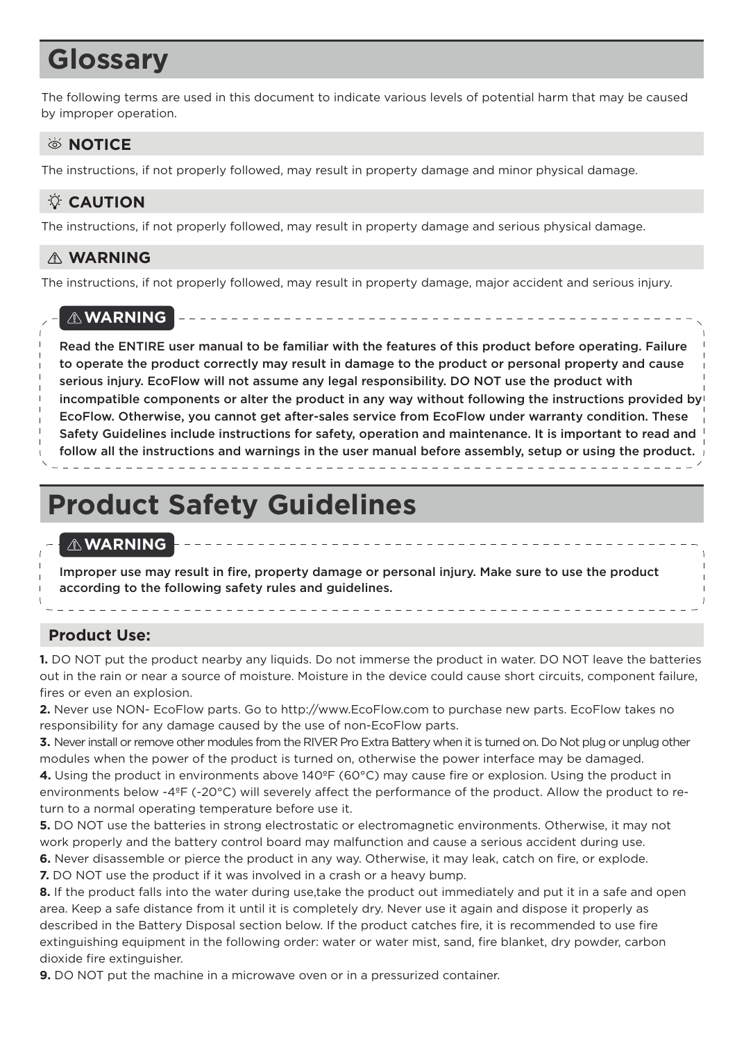## **Glossary**

The following terms are used in this document to indicate various levels of potential harm that may be caused by improper operation.

### **SNOTICE**

The instructions, if not properly followed, may result in property damage and minor physical damage.

### **CAUTION**

The instructions, if not properly followed, may result in property damage and serious physical damage.

### **WARNING**

The instructions, if not properly followed, may result in property damage, major accident and serious injury.

### **WARNING**

Read the ENTIRE user manual to be familiar with the features of this product before operating. Failure to operate the product correctly may result in damage to the product or personal property and cause serious injury. EcoFlow will not assume any legal responsibility. DO NOT use the product with incompatible components or alter the product in any way without following the instructions provided by EcoFlow. Otherwise, you cannot get after-sales service from EcoFlow under warranty condition. These Safety Guidelines include instructions for safety, operation and maintenance. It is important to read and follow all the instructions and warnings in the user manual before assembly, setup or using the product.

## **Product Safety Guidelines**

### **WARNING**

Improper use may result in fire, property damage or personal injury. Make sure to use the product according to the following safety rules and guidelines.

### **Product Use:**

**1.** DO NOT put the product nearby any liquids. Do not immerse the product in water. DO NOT leave the batteries out in the rain or near a source of moisture. Moisture in the device could cause short circuits, component failure, fires or even an explosion.

**2.** Never use NON- EcoFlow parts. Go to http://www.EcoFlow.com to purchase new parts. EcoFlow takes no responsibility for any damage caused by the use of non-EcoFlow parts.

**3.** Never install or remove other modules from the RIVER Pro Extra Battery when it is turned on. Do Not plug or unplug other modules when the power of the product is turned on, otherwise the power interface may be damaged.

**4.** Using the product in environments above 140ºF (60°C) may cause fire or explosion. Using the product in environments below -4ºF (-20°C) will severely affect the performance of the product. Allow the product to return to a normal operating temperature before use it.

**5.** DO NOT use the batteries in strong electrostatic or electromagnetic environments. Otherwise, it may not work properly and the battery control board may malfunction and cause a serious accident during use. **6.** Never disassemble or pierce the product in any way. Otherwise, it may leak, catch on fire, or explode.

**7.** DO NOT use the product if it was involved in a crash or a heavy bump.

**8.** If the product falls into the water during use,take the product out immediately and put it in a safe and open area. Keep a safe distance from it until it is completely dry. Never use it again and dispose it properly as described in the Battery Disposal section below. If the product catches fire, it is recommended to use fire extinguishing equipment in the following order: water or water mist, sand, fire blanket, dry powder, carbon dioxide fire extinguisher.

**9.** DO NOT put the machine in a microwave oven or in a pressurized container.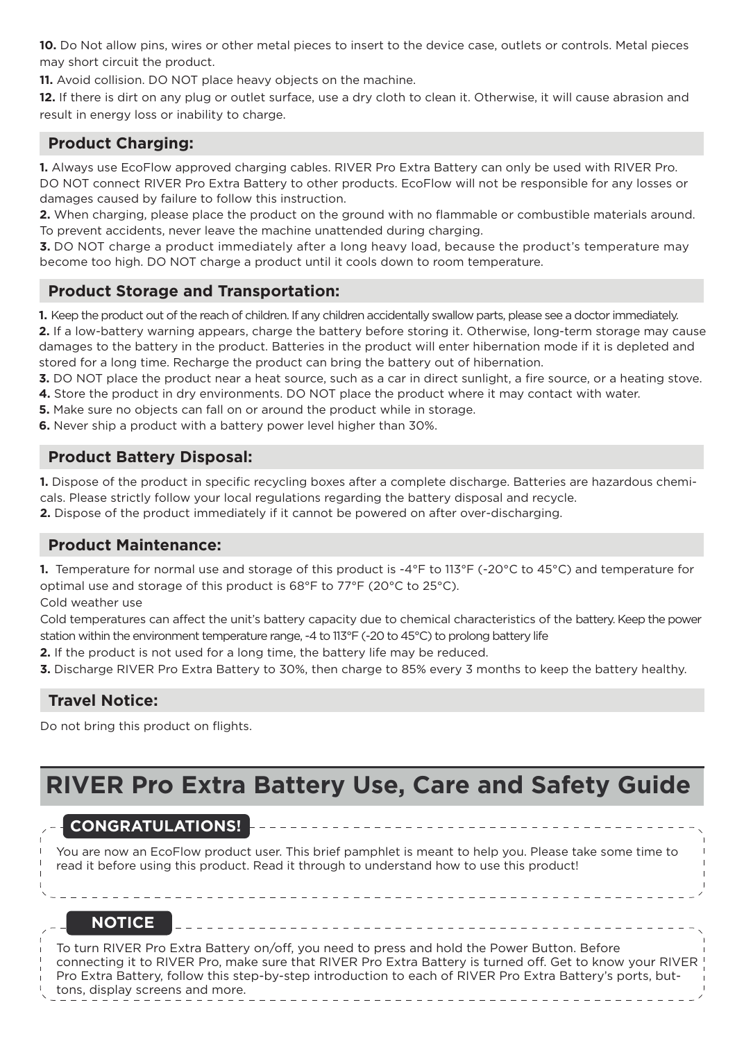**10.** Do Not allow pins, wires or other metal pieces to insert to the device case, outlets or controls. Metal pieces may short circuit the product.

**11.** Avoid collision. DO NOT place heavy objects on the machine.

**12.** If there is dirt on any plug or outlet surface, use a dry cloth to clean it. Otherwise, it will cause abrasion and result in energy loss or inability to charge.

### **Product Charging:**

**1.** Always use EcoFlow approved charging cables. RIVER Pro Extra Battery can only be used with RIVER Pro. DO NOT connect RIVER Pro Extra Battery to other products. EcoFlow will not be responsible for any losses or damages caused by failure to follow this instruction.

**2.** When charging, please place the product on the ground with no flammable or combustible materials around. To prevent accidents, never leave the machine unattended during charging.

**3.** DO NOT charge a product immediately after a long heavy load, because the product's temperature may become too high. DO NOT charge a product until it cools down to room temperature.

### **Product Storage and Transportation:**

**1.** Keep the product out of the reach of children. If any children accidentally swallow parts, please see a doctor immediately. **2.** If a low-battery warning appears, charge the battery before storing it. Otherwise, long-term storage may cause damages to the battery in the product. Batteries in the product will enter hibernation mode if it is depleted and stored for a long time. Recharge the product can bring the battery out of hibernation.

**3.** DO NOT place the product near a heat source, such as a car in direct sunlight, a fire source, or a heating stove.

- **4.** Store the product in dry environments. DO NOT place the product where it may contact with water.
- **5.** Make sure no objects can fall on or around the product while in storage.
- **6.** Never ship a product with a battery power level higher than 30%.

### **Product Battery Disposal:**

**1.** Dispose of the product in specific recycling boxes after a complete discharge. Batteries are hazardous chemicals. Please strictly follow your local regulations regarding the battery disposal and recycle.

**2.** Dispose of the product immediately if it cannot be powered on after over-discharging.

### **Product Maintenance:**

**1.** Temperature for normal use and storage of this product is -4°F to 113°F (-20°C to 45°C) and temperature for optimal use and storage of this product is 68°F to 77°F (20°C to 25°C).

Cold weather use

Cold temperatures can affect the unit's battery capacity due to chemical characteristics of the battery. Keep the power station within the environment temperature range, -4 to 113°F (-20 to 45°C) to prolong battery life

**2.** If the product is not used for a long time, the battery life may be reduced.

 $\frac{1}{2} \left( \frac{1}{2} \right) \left( \frac{1}{2} \right) \left( \frac{1}{2} \right) \left( \frac{1}{2} \right) \left( \frac{1}{2} \right) \left( \frac{1}{2} \right) \left( \frac{1}{2} \right) \left( \frac{1}{2} \right) \left( \frac{1}{2} \right) \left( \frac{1}{2} \right) \left( \frac{1}{2} \right) \left( \frac{1}{2} \right) \left( \frac{1}{2} \right) \left( \frac{1}{2} \right) \left( \frac{1}{2} \right) \left( \frac{1}{2} \right) \left( \frac$ 

**3.** Discharge RIVER Pro Extra Battery to 30%, then charge to 85% every 3 months to keep the battery healthy.

### **Travel Notice:**

Do not bring this product on flights.

### **RIVER Pro Extra Battery Use, Care and Safety Guide**

### **CONGRATULATIONS!**

You are now an EcoFlow product user. This brief pamphlet is meant to help you. Please take some time to read it before using this product. Read it through to understand how to use this product!

### **NOTICE**

To turn RIVER Pro Extra Battery on/off, you need to press and hold the Power Button. Before connecting it to RIVER Pro, make sure that RIVER Pro Extra Battery is turned off. Get to know your RIVER Pro Extra Battery, follow this step-by-step introduction to each of RIVER Pro Extra Battery's ports, buttons, display screens and more.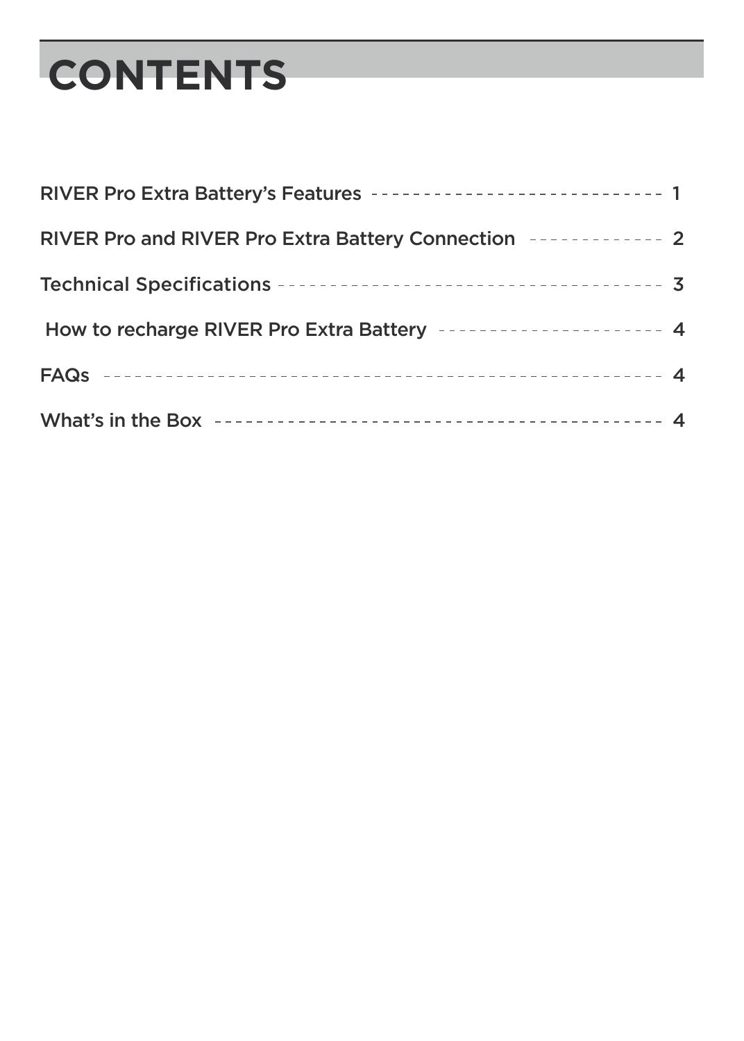# **CONTENTS**

| RIVER Pro Extra Battery's Features ---------------------------- 1 |  |
|-------------------------------------------------------------------|--|
| RIVER Pro and RIVER Pro Extra Battery Connection [10001] - 22     |  |
|                                                                   |  |
| How to recharge RIVER Pro Extra Battery --------------------- 4   |  |
|                                                                   |  |
|                                                                   |  |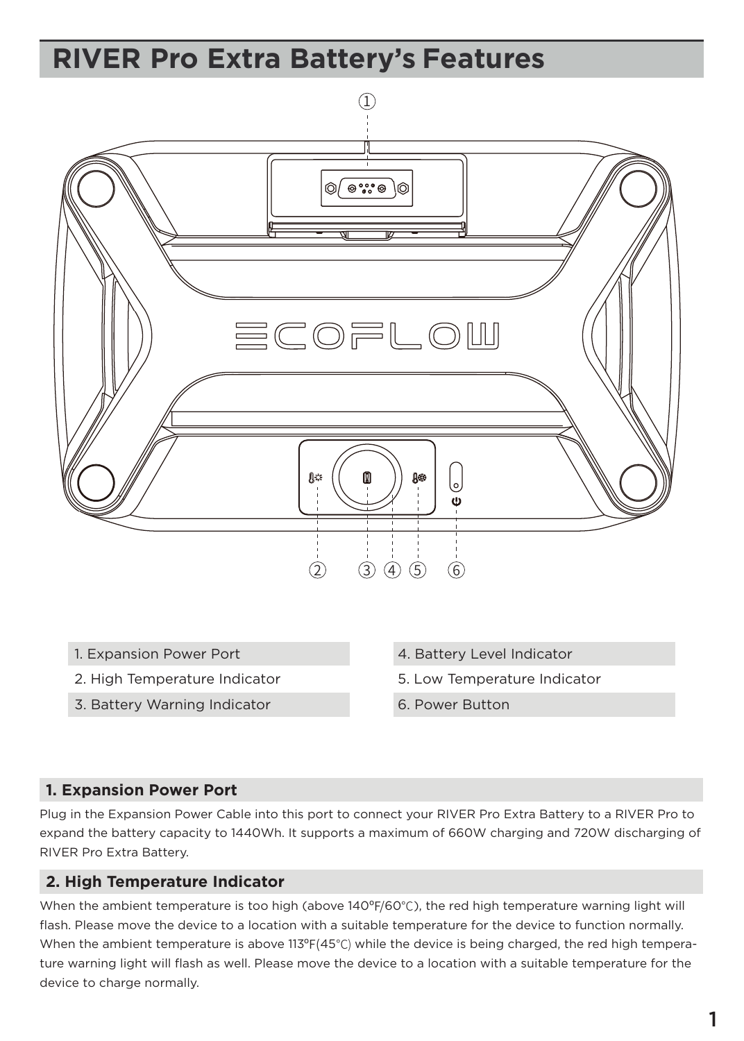## **RIVER Pro Extra Battery's Features**



- 1. Expansion Power Port
- 2. High Temperature Indicator
- 3. Battery Warning Indicator
- 4. Battery Level Indicator
- 5. Low Temperature Indicator
- 6. Power Button

### **1. Expansion Power Port**

Plug in the Expansion Power Cable into this port to connect your RIVER Pro Extra Battery to a RIVER Pro to expand the battery capacity to 1440Wh. It supports a maximum of 660W charging and 720W discharging of RIVER Pro Extra Battery.

### **2. High Temperature Indicator**

When the ambient temperature is too high (above 140°F/60°C), the red high temperature warning light will flash. Please move the device to a location with a suitable temperature for the device to function normally. When the ambient temperature is above 113ºF(45℃) while the device is being charged, the red high temperature warning light will flash as well. Please move the device to a location with a suitable temperature for the device to charge normally.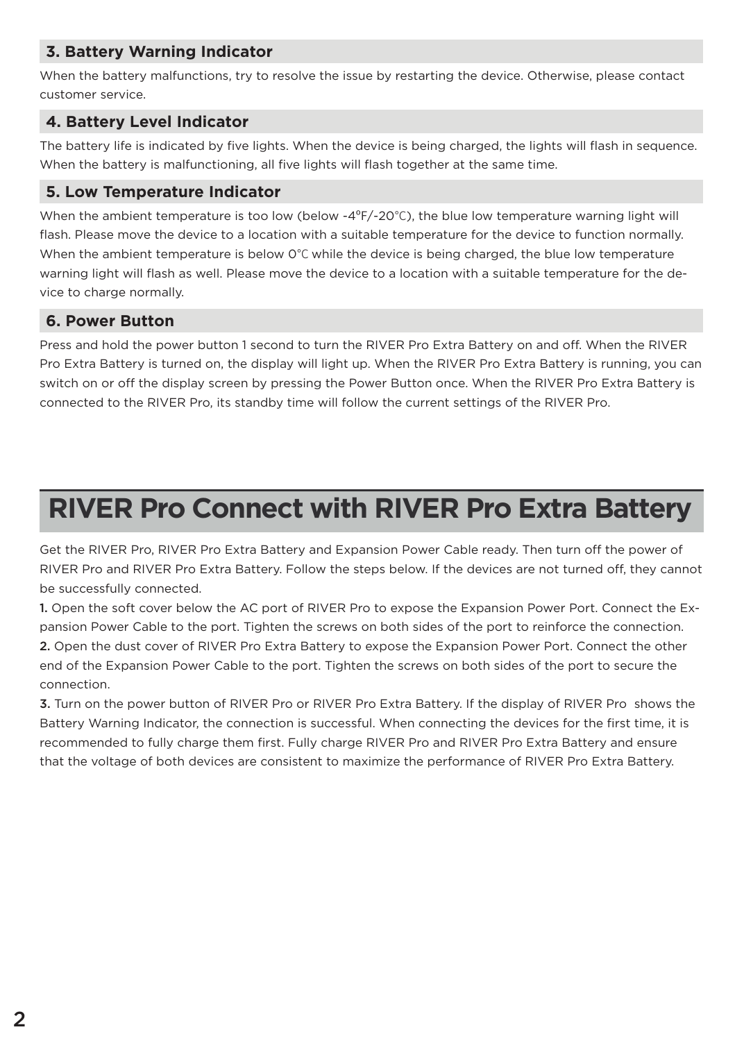### **3. Battery Warning Indicator**

When the battery malfunctions, try to resolve the issue by restarting the device. Otherwise, please contact customer service.

### **4. Battery Level Indicator**

The battery life is indicated by five lights. When the device is being charged, the lights will flash in sequence. When the battery is malfunctioning, all five lights will flash together at the same time.

### **5. Low Temperature Indicator**

When the ambient temperature is too low (below -4ºF/-20℃), the blue low temperature warning light will flash. Please move the device to a location with a suitable temperature for the device to function normally. When the ambient temperature is below 0℃ while the device is being charged, the blue low temperature warning light will flash as well. Please move the device to a location with a suitable temperature for the device to charge normally.

### **6. Power Button**

Press and hold the power button 1 second to turn the RIVER Pro Extra Battery on and off. When the RIVER Pro Extra Battery is turned on, the display will light up. When the RIVER Pro Extra Battery is running, you can switch on or off the display screen by pressing the Power Button once. When the RIVER Pro Extra Battery is connected to the RIVER Pro, its standby time will follow the current settings of the RIVER Pro.

## **RIVER Pro Connect with RIVER Pro Extra Battery**

Get the RIVER Pro, RIVER Pro Extra Battery and Expansion Power Cable ready. Then turn off the power of RIVER Pro and RIVER Pro Extra Battery. Follow the steps below. If the devices are not turned off, they cannot be successfully connected.

1. Open the soft cover below the AC port of RIVER Pro to expose the Expansion Power Port. Connect the Expansion Power Cable to the port. Tighten the screws on both sides of the port to reinforce the connection. 2. Open the dust cover of RIVER Pro Extra Battery to expose the Expansion Power Port. Connect the other end of the Expansion Power Cable to the port. Tighten the screws on both sides of the port to secure the connection.

3. Turn on the power button of RIVER Pro or RIVER Pro Extra Battery. If the display of RIVER Pro shows the Battery Warning Indicator, the connection is successful. When connecting the devices for the first time, it is recommended to fully charge them first. Fully charge RIVER Pro and RIVER Pro Extra Battery and ensure that the voltage of both devices are consistent to maximize the performance of RIVER Pro Extra Battery.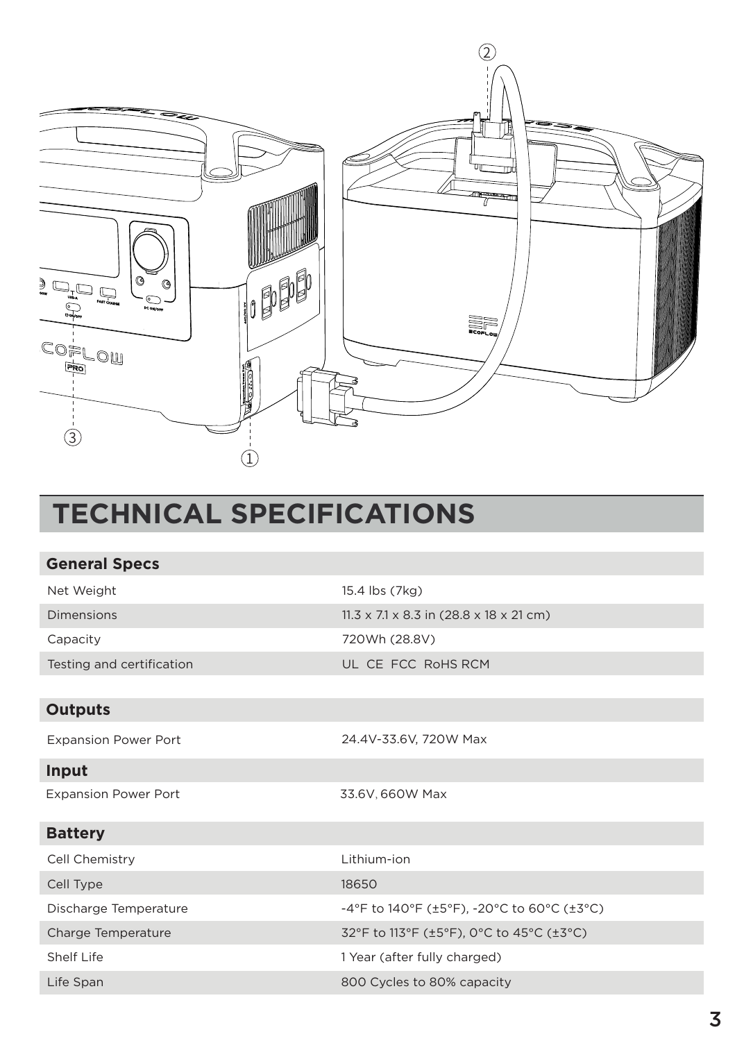

## **TECHNICAL SPECIFICATIONS**

| <b>General Specs</b>        |                                                     |
|-----------------------------|-----------------------------------------------------|
| Net Weight                  | 15.4 lbs (7kg)                                      |
| Dimensions                  | $11.3 \times 7.1 \times 8.3$ in (28.8 x 18 x 21 cm) |
| Capacity                    | 720Wh (28.8V)                                       |
| Testing and certification   | UL CE FCC RoHS RCM                                  |
|                             |                                                     |
| <b>Outputs</b>              |                                                     |
| <b>Expansion Power Port</b> | 24.4V-33.6V, 720W Max                               |
| Input                       |                                                     |
| <b>Expansion Power Port</b> | 33.6V, 660W Max                                     |
| <b>Battery</b>              |                                                     |
| Cell Chemistry              | Lithium-ion                                         |
| Cell Type                   | 18650                                               |
| Discharge Temperature       | -4°F to 140°F (±5°F), -20°C to 60°C (±3°C)          |
| Charge Temperature          | 32°F to 113°F (±5°F), 0°C to 45°C (±3°C)            |
| Shelf Life                  | 1 Year (after fully charged)                        |
| Life Span                   | 800 Cycles to 80% capacity                          |